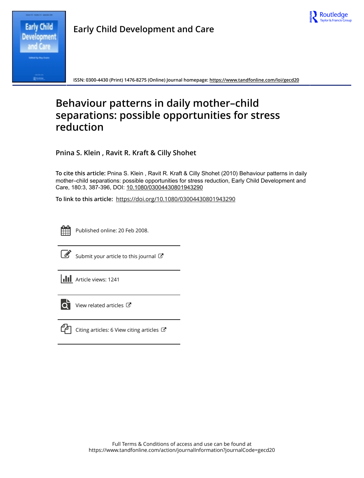



**Early Child Development and Care**

**ISSN: 0300-4430 (Print) 1476-8275 (Online) Journal homepage:<https://www.tandfonline.com/loi/gecd20>**

# **Behaviour patterns in daily mother–child separations: possible opportunities for stress reduction**

**Pnina S. Klein , Ravit R. Kraft & Cilly Shohet**

**To cite this article:** Pnina S. Klein , Ravit R. Kraft & Cilly Shohet (2010) Behaviour patterns in daily mother–child separations: possible opportunities for stress reduction, Early Child Development and Care, 180:3, 387-396, DOI: [10.1080/03004430801943290](https://www.tandfonline.com/action/showCitFormats?doi=10.1080/03004430801943290)

**To link to this article:** <https://doi.org/10.1080/03004430801943290>



Published online: 20 Feb 2008.



 $\overrightarrow{S}$  [Submit your article to this journal](https://www.tandfonline.com/action/authorSubmission?journalCode=gecd20&show=instructions)  $\overrightarrow{S}$ 





 $\overline{\mathbf{C}}$  [View related articles](https://www.tandfonline.com/doi/mlt/10.1080/03004430801943290)  $\mathbf{C}$ 



[Citing articles: 6 View citing articles](https://www.tandfonline.com/doi/citedby/10.1080/03004430801943290#tabModule)  $\mathbb{Z}$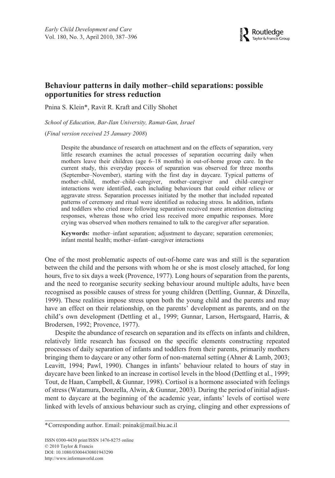## **Behaviour patterns in daily mother–child separations: possible opportunities for stress reduction**

Pnina S. Klein\*, Ravit R. Kraft and Cilly Shohet

*School of Education, Bar-Ilan University, Ramat-Gan, Israel*

(Final version received 25 January 2008)

Despite the abundance of research on attachment and on the effects of separation, very little research examines the actual processes of separation occurring daily when mothers leave their children (age 6–18 months) in out-of-home group care. In the current study, this everyday process of separation was observed for three months (September–November), starting with the first day in daycare. Typical patterns of mother–child, mother–child–caregiver, mother–caregiver and child–caregiver interactions were identified, each including behaviours that could either relieve or aggravate stress. Separation processes initiated by the mother that included repeated patterns of ceremony and ritual were identified as reducing stress. In addition, infants and toddlers who cried more following separation received more attention distracting responses, whereas those who cried less received more empathic responses. More crying was observed when mothers remained to talk to the caregiver after separation.

**Keywords:** mother–infant separation; adjustment to daycare; separation ceremonies; infant mental health; mother–infant–caregiver interactions

One of the most problematic aspects of out-of-home care was and still is the separation between the child and the persons with whom he or she is most closely attached, for long hours, five to six days a week (Provence, 1977). Long hours of separation from the parents, and the need to reorganise security seeking behaviour around multiple adults, have been recognised as possible causes of stress for young children (Dettling, Gunnar, & Dinzella, 1999). These realities impose stress upon both the young child and the parents and may have an effect on their relationship, on the parents' development as parents, and on the child's own development (Dettling et al., 1999; Gunnar, Larson, Hertsgaard, Harris, & Brodersen, 1992; Provence, 1977).

Despite the abundance of research on separation and its effects on infants and children, relatively little research has focused on the specific elements constructing repeated processes of daily separation of infants and toddlers from their parents, primarily mothers bringing them to daycare or any other form of non-maternal setting (Ahner & Lamb, 2003; Leavitt, 1994; Pawl, 1990). Changes in infants' behaviour related to hours of stay in daycare have been linked to an increase in cortisol levels in the blood (Dettling et al., 1999; Tout, de Haan, Campbell, & Gunnar, 1998). Cortisol is a hormone associated with feelings of stress (Watamura, Donzella, Alwin, & Gunnar, 2003). During the period of initial adjustment to daycare at the beginning of the academic year, infants' levels of cortisol were linked with levels of anxious behaviour such as crying, clinging and other expressions of

<sup>\*</sup>Corresponding author. Email: pninak@mail.biu.ac.il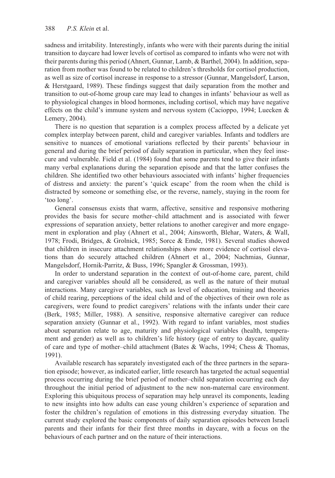sadness and irritability. Interestingly, infants who were with their parents during the initial transition to daycare had lower levels of cortisol as compared to infants who were not with their parents during this period (Ahnert, Gunnar, Lamb, & Barthel, 2004). In addition, separation from mother was found to be related to children's thresholds for cortisol production, as well as size of cortisol increase in response to a stressor (Gunnar, Mangelsdorf, Larson, & Herstgaard, 1989). These findings suggest that daily separation from the mother and transition to out-of-home group care may lead to changes in infants' behaviour as well as to physiological changes in blood hormones, including cortisol, which may have negative effects on the child's immune system and nervous system (Cacioppo, 1994; Luecken & Lemery, 2004).

There is no question that separation is a complex process affected by a delicate yet complex interplay between parent, child and caregiver variables. Infants and toddlers are sensitive to nuances of emotional variations reflected by their parents' behaviour in general and during the brief period of daily separation in particular, when they feel insecure and vulnerable. Field et al. (1984) found that some parents tend to give their infants many verbal explanations during the separation episode and that the latter confuses the children. She identified two other behaviours associated with infants' higher frequencies of distress and anxiety: the parent's 'quick escape' from the room when the child is distracted by someone or something else, or the reverse, namely, staying in the room for 'too long'.

General consensus exists that warm, affective, sensitive and responsive mothering provides the basis for secure mother–child attachment and is associated with fewer expressions of separation anxiety, better relations to another caregiver and more engagement in exploration and play (Ahnert et al., 2004; Ainsworth, Blehar, Waters, & Wall, 1978; Frodi, Bridges, & Grolnick, 1985; Sorce & Emde, 1981). Several studies showed that children in insecure attachment relationships show more evidence of cortisol elevations than do securely attached children (Ahnert et al., 2004; Nachmias, Gunnar, Mangelsdorf, Hornik-Parritz, & Buss, 1996; Spangler & Grossman, 1993).

In order to understand separation in the context of out-of-home care, parent, child and caregiver variables should all be considered, as well as the nature of their mutual interactions. Many caregiver variables, such as level of education, training and theories of child rearing, perceptions of the ideal child and of the objectives of their own role as caregivers, were found to predict caregivers' relations with the infants under their care (Berk, 1985; Miller, 1988). A sensitive, responsive alternative caregiver can reduce separation anxiety (Gunnar et al., 1992). With regard to infant variables, most studies about separation relate to age, maturity and physiological variables (health, temperament and gender) as well as to children's life history (age of entry to daycare, quality of care and type of mother–child attachment (Bates & Wachs, 1994; Chess & Thomas, 1991).

Available research has separately investigated each of the three partners in the separation episode; however, as indicated earlier, little research has targeted the actual sequential process occurring during the brief period of mother–child separation occurring each day throughout the initial period of adjustment to the new non-maternal care environment. Exploring this ubiquitous process of separation may help unravel its components, leading to new insights into how adults can ease young children's experience of separation and foster the children's regulation of emotions in this distressing everyday situation. The current study explored the basic components of daily separation episodes between Israeli parents and their infants for their first three months in daycare, with a focus on the behaviours of each partner and on the nature of their interactions.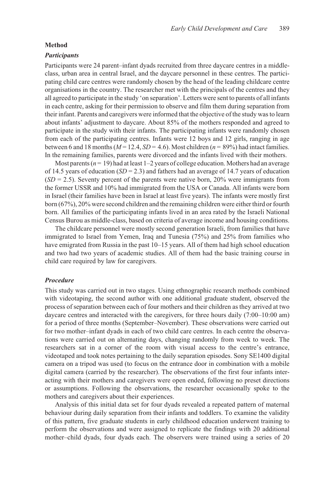#### **Method**

#### *Participants*

Participants were 24 parent–infant dyads recruited from three daycare centres in a middleclass, urban area in central Israel, and the daycare personnel in these centres. The participating child care centres were randomly chosen by the head of the leading childcare centre organisations in the country. The researcher met with the principals of the centres and they all agreed to participate in the study 'on separation'. Letters were sent to parents of all infants in each centre, asking for their permission to observe and film them during separation from their infant. Parents and caregivers were informed that the objective of the study was to learn about infants' adjustment to daycare. About 85% of the mothers responded and agreed to participate in the study with their infants. The participating infants were randomly chosen from each of the participating centres. Infants were 12 boys and 12 girls, ranging in age between 6 and 18 months ( $M = 12.4$ ,  $SD = 4.6$ ). Most children ( $n = 89\%$ ) had intact families. In the remaining families, parents were divorced and the infants lived with their mothers.

Most parents  $(n = 19)$  had at least  $1-2$  years of college education. Mothers had an average of 14.5 years of education (*SD* = 2.3) and fathers had an average of 14.7 years of education  $(SD = 2.5)$ . Seventy percent of the parents were native born, 20% were immigrants from the former USSR and 10% had immigrated from the USA or Canada. All infants were born in Israel (their families have been in Israel at least five years). The infants were mostly first born (67%), 20% were second children and the remaining children were either third or fourth born. All families of the participating infants lived in an area rated by the Israeli National Census Burou as middle-class, based on criteria of average income and housing conditions.

The childcare personnel were mostly second generation Israeli, from families that have immigrated to Israel from Yemen, Iraq and Tunesia (75%) and 25% from families who have emigrated from Russia in the past  $10-15$  years. All of them had high school education and two had two years of academic studies. All of them had the basic training course in child care required by law for caregivers.

#### *Procedure*

This study was carried out in two stages. Using ethnographic research methods combined with videotaping, the second author with one additional graduate student, observed the process of separation between each of four mothers and their children as they arrived at two daycare centres and interacted with the caregivers, for three hours daily (7:00–10:00 am) for a period of three months (September–November). These observations were carried out for two mother–infant dyads in each of two child care centres. In each centre the observations were carried out on alternating days, changing randomly from week to week. The researchers sat in a corner of the room with visual access to the centre's entrance, videotaped and took notes pertaining to the daily separation episodes. Sony SE1400 digital camera on a tripod was used (to focus on the entrance door in combination with a mobile digital camera (carried by the researcher). The observations of the first four infants interacting with their mothers and caregivers were open ended, following no preset directions or assumptions. Following the observations, the researcher occasionally spoke to the mothers and caregivers about their experiences.

Analysis of this initial data set for four dyads revealed a repeated pattern of maternal behaviour during daily separation from their infants and toddlers. To examine the validity of this pattern, five graduate students in early childhood education underwent training to perform the observations and were assigned to replicate the findings with 20 additional mother–child dyads, four dyads each. The observers were trained using a series of 20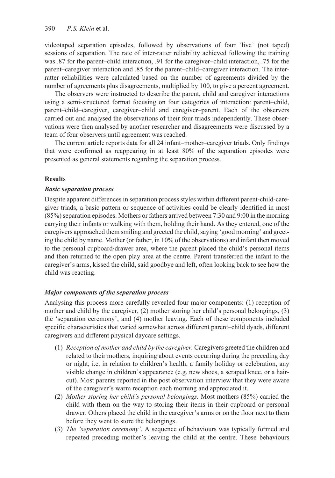videotaped separation episodes, followed by observations of four 'live' (not taped) sessions of separation. The rate of inter-ratter reliability achieved following the training was .87 for the parent–child interaction, .91 for the caregiver–child interaction, .75 for the parent–caregiver interaction and .85 for the parent–child–caregiver interaction. The interratter reliabilities were calculated based on the number of agreements divided by the number of agreements plus disagreements, multiplied by 100, to give a percent agreement.

The observers were instructed to describe the parent, child and caregiver interactions using a semi-structured format focusing on four categories of interaction: parent–child, parent–child–caregiver, caregiver–child and caregiver–parent. Each of the observers carried out and analysed the observations of their four triads independently. These observations were then analysed by another researcher and disagreements were discussed by a team of four observers until agreement was reached.

The current article reports data for all 24 infant–mother–caregiver triads. Only findings that were confirmed as reappearing in at least 80% of the separation episodes were presented as general statements regarding the separation process.

## **Results**

## *Basic separation process*

Despite apparent differences in separation process styles within different parent-child-caregiver triads, a basic pattern or sequence of activities could be clearly identified in most (85%) separation episodes. Mothers or fathers arrived between 7:30 and 9:00 in the morning carrying their infants or walking with them, holding their hand. As they entered, one of the caregivers approached them smiling and greeted the child, saying 'good morning' and greeting the child by name. Mother (or father, in 10% of the observations) and infant then moved to the personal cupboard/drawer area, where the parent placed the child's personal items and then returned to the open play area at the centre. Parent transferred the infant to the caregiver's arms, kissed the child, said goodbye and left, often looking back to see how the child was reacting.

## *Major components of the separation process*

Analysing this process more carefully revealed four major components: (1) reception of mother and child by the caregiver, (2) mother storing her child's personal belongings, (3) the 'separation ceremony', and (4) mother leaving. Each of these components included specific characteristics that varied somewhat across different parent–child dyads, different caregivers and different physical daycare settings.

- (1) *Reception of mother and child by the caregiver.* Caregivers greeted the children and related to their mothers, inquiring about events occurring during the preceding day or night, i.e. in relation to children's health, a family holiday or celebration, any visible change in children's appearance (e.g. new shoes, a scraped knee, or a haircut). Most parents reported in the post observation interview that they were aware of the caregiver's warm reception each morning and appreciated it.
- (2) *Mother storing her child's personal belongings.* Most mothers (85%) carried the child with them on the way to storing their items in their cupboard or personal drawer. Others placed the child in the caregiver's arms or on the floor next to them before they went to store the belongings.
- (3) *The 'separation ceremony'*. A sequence of behaviours was typically formed and repeated preceding mother's leaving the child at the centre. These behaviours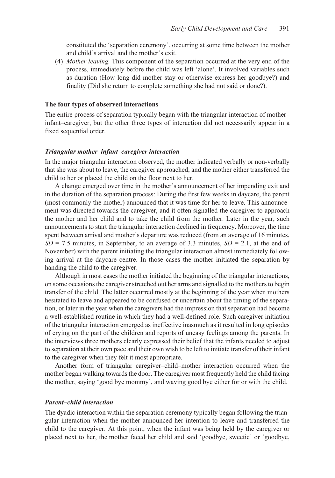constituted the 'separation ceremony', occurring at some time between the mother and child's arrival and the mother's exit.

(4) *Mother leaving.* This component of the separation occurred at the very end of the process, immediately before the child was left 'alone'. It involved variables such as duration (How long did mother stay or otherwise express her goodbye?) and finality (Did she return to complete something she had not said or done?).

#### **The four types of observed interactions**

The entire process of separation typically began with the triangular interaction of mother– infant–caregiver, but the other three types of interaction did not necessarily appear in a fixed sequential order.

#### *Triangular mother–infant–caregiver interaction*

In the major triangular interaction observed, the mother indicated verbally or non-verbally that she was about to leave, the caregiver approached, and the mother either transferred the child to her or placed the child on the floor next to her.

A change emerged over time in the mother's announcement of her impending exit and in the duration of the separation process: During the first few weeks in daycare, the parent (most commonly the mother) announced that it was time for her to leave. This announcement was directed towards the caregiver, and it often signalled the caregiver to approach the mother and her child and to take the child from the mother. Later in the year, such announcements to start the triangular interaction declined in frequency. Moreover, the time spent between arrival and mother's departure was reduced (from an average of 16 minutes,  $SD = 7.5$  minutes, in September, to an average of 3.3 minutes,  $SD = 2.1$ , at the end of November) with the parent initiating the triangular interaction almost immediately following arrival at the daycare centre. In those cases the mother initiated the separation by handing the child to the caregiver.

Although in most cases the mother initiated the beginning of the triangular interactions, on some occasions the caregiver stretched out her arms and signalled to the mothers to begin transfer of the child. The latter occurred mostly at the beginning of the year when mothers hesitated to leave and appeared to be confused or uncertain about the timing of the separation, or later in the year when the caregivers had the impression that separation had become a well-established routine in which they had a well-defined role. Such caregiver initiation of the triangular interaction emerged as ineffective inasmuch as it resulted in long episodes of crying on the part of the children and reports of uneasy feelings among the parents. In the interviews three mothers clearly expressed their belief that the infants needed to adjust to separation at their own pace and their own wish to be left to initiate transfer of their infant to the caregiver when they felt it most appropriate.

Another form of triangular caregiver–child–mother interaction occurred when the mother began walking towards the door. The caregiver most frequently held the child facing the mother, saying 'good bye mommy', and waving good bye either for or with the child.

## *Parent–child interaction*

The dyadic interaction within the separation ceremony typically began following the triangular interaction when the mother announced her intention to leave and transferred the child to the caregiver. At this point, when the infant was being held by the caregiver or placed next to her, the mother faced her child and said 'goodbye, sweetie' or 'goodbye,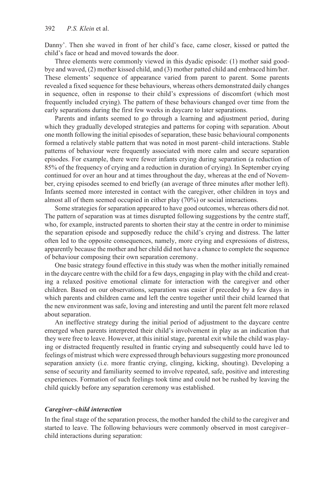Danny'. Then she waved in front of her child's face, came closer, kissed or patted the child's face or head and moved towards the door.

Three elements were commonly viewed in this dyadic episode: (1) mother said goodbye and waved, (2) mother kissed child, and (3) mother patted child and embraced him/her. These elements' sequence of appearance varied from parent to parent. Some parents revealed a fixed sequence for these behaviours, whereas others demonstrated daily changes in sequence, often in response to their child's expressions of discomfort (which most frequently included crying). The pattern of these behaviours changed over time from the early separations during the first few weeks in daycare to later separations.

Parents and infants seemed to go through a learning and adjustment period, during which they gradually developed strategies and patterns for coping with separation. About one month following the initial episodes of separation, these basic behavioural components formed a relatively stable pattern that was noted in most parent–child interactions. Stable patterns of behaviour were frequently associated with more calm and secure separation episodes. For example, there were fewer infants crying during separation (a reduction of 85% of the frequency of crying and a reduction in duration of crying). In September crying continued for over an hour and at times throughout the day, whereas at the end of November, crying episodes seemed to end briefly (an average of three minutes after mother left). Infants seemed more interested in contact with the caregiver, other children in toys and almost all of them seemed occupied in either play (70%) or social interactions.

Some strategies for separation appeared to have good outcomes, whereas others did not. The pattern of separation was at times disrupted following suggestions by the centre staff, who, for example, instructed parents to shorten their stay at the centre in order to minimise the separation episode and supposedly reduce the child's crying and distress. The latter often led to the opposite consequences, namely, more crying and expressions of distress, apparently because the mother and her child did not have a chance to complete the sequence of behaviour composing their own separation ceremony.

One basic strategy found effective in this study was when the mother initially remained in the daycare centre with the child for a few days, engaging in play with the child and creating a relaxed positive emotional climate for interaction with the caregiver and other children. Based on our observations, separation was easier if preceded by a few days in which parents and children came and left the centre together until their child learned that the new environment was safe, loving and interesting and until the parent felt more relaxed about separation.

An ineffective strategy during the initial period of adjustment to the daycare centre emerged when parents interpreted their child's involvement in play as an indication that they were free to leave. However, at this initial stage, parental exit while the child was playing or distracted frequently resulted in frantic crying and subsequently could have led to feelings of mistrust which were expressed through behaviours suggesting more pronounced separation anxiety (i.e. more frantic crying, clinging, kicking, shouting). Developing a sense of security and familiarity seemed to involve repeated, safe, positive and interesting experiences. Formation of such feelings took time and could not be rushed by leaving the child quickly before any separation ceremony was established.

#### *Caregiver–child interaction*

In the final stage of the separation process, the mother handed the child to the caregiver and started to leave. The following behaviours were commonly observed in most caregiver– child interactions during separation: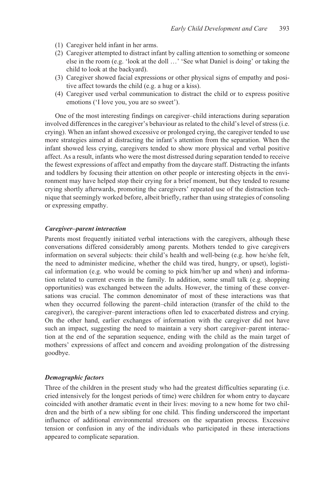- (1) Caregiver held infant in her arms.
- (2) Caregiver attempted to distract infant by calling attention to something or someone else in the room (e.g. 'look at the doll …' 'See what Daniel is doing' or taking the child to look at the backyard).
- (3) Caregiver showed facial expressions or other physical signs of empathy and positive affect towards the child (e.g. a hug or a kiss).
- (4) Caregiver used verbal communication to distract the child or to express positive emotions ('I love you, you are so sweet').

One of the most interesting findings on caregiver–child interactions during separation involved differences in the caregiver's behaviour as related to the child's level of stress (i.e. crying). When an infant showed excessive or prolonged crying, the caregiver tended to use more strategies aimed at distracting the infant's attention from the separation. When the infant showed less crying, caregivers tended to show more physical and verbal positive affect. As a result, infants who were the most distressed during separation tended to receive the fewest expressions of affect and empathy from the daycare staff. Distracting the infants and toddlers by focusing their attention on other people or interesting objects in the environment may have helped stop their crying for a brief moment, but they tended to resume crying shortly afterwards, promoting the caregivers' repeated use of the distraction technique that seemingly worked before, albeit briefly, rather than using strategies of consoling or expressing empathy.

## *Caregiver–parent interaction*

Parents most frequently initiated verbal interactions with the caregivers, although these conversations differed considerably among parents. Mothers tended to give caregivers information on several subjects: their child's health and well-being (e.g. how he/she felt, the need to administer medicine, whether the child was tired, hungry, or upset), logistical information (e.g. who would be coming to pick him/her up and when) and information related to current events in the family. In addition, some small talk (e.g. shopping opportunities) was exchanged between the adults. However, the timing of these conversations was crucial. The common denominator of most of these interactions was that when they occurred following the parent–child interaction (transfer of the child to the caregiver), the caregiver–parent interactions often led to exacerbated distress and crying. On the other hand, earlier exchanges of information with the caregiver did not have such an impact, suggesting the need to maintain a very short caregiver–parent interaction at the end of the separation sequence, ending with the child as the main target of mothers' expressions of affect and concern and avoiding prolongation of the distressing goodbye.

## *Demographic factors*

Three of the children in the present study who had the greatest difficulties separating (i.e. cried intensively for the longest periods of time) were children for whom entry to daycare coincided with another dramatic event in their lives: moving to a new home for two children and the birth of a new sibling for one child. This finding underscored the important influence of additional environmental stressors on the separation process. Excessive tension or confusion in any of the individuals who participated in these interactions appeared to complicate separation.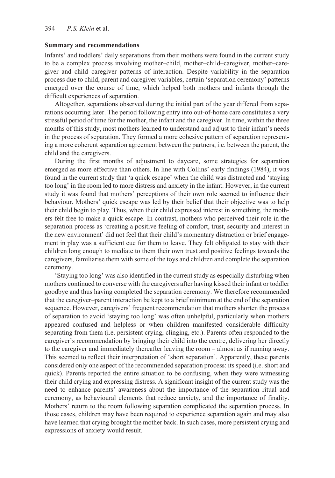#### **Summary and recommendations**

Infants' and toddlers' daily separations from their mothers were found in the current study to be a complex process involving mother–child, mother–child–caregiver, mother–caregiver and child–caregiver patterns of interaction. Despite variability in the separation process due to child, parent and caregiver variables, certain 'separation ceremony' patterns emerged over the course of time, which helped both mothers and infants through the difficult experiences of separation.

Altogether, separations observed during the initial part of the year differed from separations occurring later. The period following entry into out-of-home care constitutes a very stressful period of time for the mother, the infant and the caregiver. In time, within the three months of this study, most mothers learned to understand and adjust to their infant's needs in the process of separation. They formed a more cohesive pattern of separation representing a more coherent separation agreement between the partners, i.e. between the parent, the child and the caregivers.

During the first months of adjustment to daycare, some strategies for separation emerged as more effective than others. In line with Collins' early findings (1984), it was found in the current study that 'a quick escape' when the child was distracted and 'staying too long' in the room led to more distress and anxiety in the infant. However, in the current study it was found that mothers' perceptions of their own role seemed to influence their behaviour. Mothers' quick escape was led by their belief that their objective was to help their child begin to play. Thus, when their child expressed interest in something, the mothers felt free to make a quick escape. In contrast, mothers who perceived their role in the separation process as 'creating a positive feeling of comfort, trust, security and interest in the new environment' did not feel that their child's momentary distraction or brief engagement in play was a sufficient cue for them to leave. They felt obligated to stay with their children long enough to mediate to them their own trust and positive feelings towards the caregivers, familiarise them with some of the toys and children and complete the separation ceremony.

'Staying too long' was also identified in the current study as especially disturbing when mothers continued to converse with the caregivers after having kissed their infant or toddler goodbye and thus having completed the separation ceremony. We therefore recommended that the caregiver–parent interaction be kept to a brief minimum at the end of the separation sequence. However, caregivers' frequent recommendation that mothers shorten the process of separation to avoid 'staying too long' was often unhelpful, particularly when mothers appeared confused and helpless or when children manifested considerable difficulty separating from them (i.e. persistent crying, clinging, etc.). Parents often responded to the caregiver's recommendation by bringing their child into the centre, delivering her directly to the caregiver and immediately thereafter leaving the room – almost as if running away. This seemed to reflect their interpretation of 'short separation'. Apparently, these parents considered only one aspect of the recommended separation process: its speed (i.e. short and quick). Parents reported the entire situation to be confusing, when they were witnessing their child crying and expressing distress. A significant insight of the current study was the need to enhance parents' awareness about the importance of the separation ritual and ceremony, as behavioural elements that reduce anxiety, and the importance of finality. Mothers' return to the room following separation complicated the separation process. In those cases, children may have been required to experience separation again and may also have learned that crying brought the mother back. In such cases, more persistent crying and expressions of anxiety would result.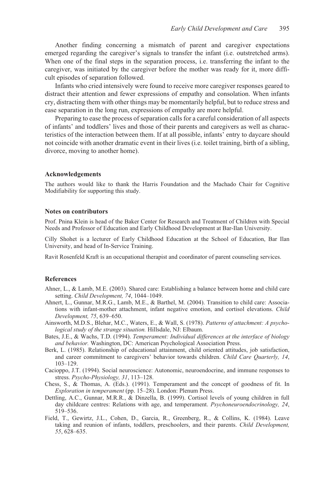Another finding concerning a mismatch of parent and caregiver expectations emerged regarding the caregiver's signals to transfer the infant (i.e. outstretched arms). When one of the final steps in the separation process, i.e. transferring the infant to the caregiver, was initiated by the caregiver before the mother was ready for it, more difficult episodes of separation followed.

Infants who cried intensively were found to receive more caregiver responses geared to distract their attention and fewer expressions of empathy and consolation. When infants cry, distracting them with other things may be momentarily helpful, but to reduce stress and ease separation in the long run, expressions of empathy are more helpful.

Preparing to ease the process of separation calls for a careful consideration of all aspects of infants' and toddlers' lives and those of their parents and caregivers as well as characteristics of the interaction between them. If at all possible, infants' entry to daycare should not coincide with another dramatic event in their lives (i.e. toilet training, birth of a sibling, divorce, moving to another home).

#### **Acknowledgements**

The authors would like to thank the Harris Foundation and the Machado Chair for Cognitive Modifiability for supporting this study.

#### **Notes on contributors**

Prof. Pnina Klein is head of the Baker Center for Research and Treatment of Children with Special Needs and Professor of Education and Early Childhood Development at Bar-Ilan University.

Cilly Shohet is a lecturer of Early Childhood Education at the School of Education, Bar Ilan University, and head of In-Service Training.

Ravit Rosenfeld Kraft is an occupational therapist and coordinator of parent counseling services.

#### **References**

- Ahner, L., & Lamb, M.E. (2003). Shared care: Establishing a balance between home and child care setting. *Child Development, 74*, 1044–1049.
- Ahnert, L., Gunnar, M.R.G., Lamb, M.E., & Barthel, M. (2004). Transition to child care: Associations with infant-mother attachment, infant negative emotion, and cortisol elevations. *Child Development, 75*, 639–650.
- Ainsworth, M.D.S., Blehar, M.C., Waters, E., & Wall, S. (1978). *Patterns of attachment: A psychological study of the strange situation.* Hillsdale, NJ: Elbaum.
- Bates, J.E., & Wachs, T.D. (1994). *Temperament: Individual differences at the interface of biology and behavior.* Washington, DC: American Psychological Association Press.
- Berk, L. (1985). Relationship of educational attainment, child oriented attitudes, job satisfaction, and career commitment to caregivers' behavior towards children. *Child Care Quarterly, 14*, 103–129.
- Cacioppo, J.T. (1994). Social neuroscience: Autonomic, neuroendocrine, and immune responses to stress. *Psycho-Physiology, 31*, 113–128.
- Chess, S., & Thomas, A. (Eds.). (1991). Temperament and the concept of goodness of fit. In *Exploration in temperament* (pp. 15–28). London: Plenum Press.
- Dettling, A.C., Gunnar, M.R.R., & Dinzella, B. (1999). Cortisol levels of young children in full day childcare centres: Relations with age, and temperament. *Psychoneuroendocrinology, 24*, 519–536.
- Field, T., Gewirtz, J.L., Cohen, D., Garcia, R., Greenberg, R., & Collins, K. (1984). Leave taking and reunion of infants, toddlers, preschoolers, and their parents. *Child Development, 55*, 628–635.